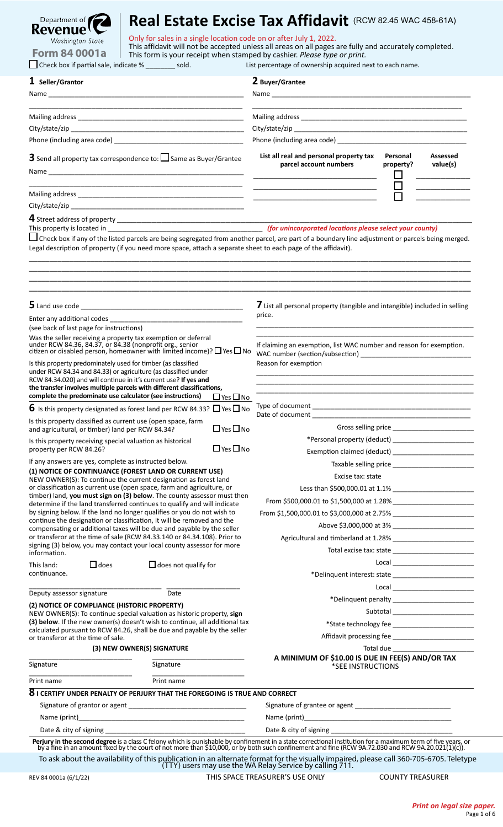| <b>Revenue</b>                           |                                                                    | <b>Real Estate Excise Tax Affidavit (RCW 82.45 WAC 458-61A)</b>                                                                                                                   |
|------------------------------------------|--------------------------------------------------------------------|-----------------------------------------------------------------------------------------------------------------------------------------------------------------------------------|
| Washington State<br><b>Form 84 0001a</b> | Only for sales in a single location code on or after July 1, 2022. | This affidavit will not be accepted unless all areas on all pages are fully and accurately completed.<br>This form is your receipt when stamped by cashier. Please type or print. |
| Check box if partial sale, indicate %    | sold.                                                              | List percentage of ownership acquired next to each name.                                                                                                                          |
| 1 Seller/Grantor                         |                                                                    | 2 Buyer/Grantee                                                                                                                                                                   |
| Name                                     |                                                                    | Name                                                                                                                                                                              |

|                                                                                                                                                                                                                                                                                                          |                                                                                                                                                    |                                                                     | $\Box$ Check box if any of the listed parcels are being segregated from another parcel, are part of a boundary line adjustment or parcels being merged.<br>Legal description of property (if you need more space, attach a separate sheet to each page of the affidavit). |                                                |
|----------------------------------------------------------------------------------------------------------------------------------------------------------------------------------------------------------------------------------------------------------------------------------------------------------|----------------------------------------------------------------------------------------------------------------------------------------------------|---------------------------------------------------------------------|---------------------------------------------------------------------------------------------------------------------------------------------------------------------------------------------------------------------------------------------------------------------------|------------------------------------------------|
|                                                                                                                                                                                                                                                                                                          |                                                                                                                                                    |                                                                     | 7 List all personal property (tangible and intangible) included in selling                                                                                                                                                                                                |                                                |
| (see back of last page for instructions)                                                                                                                                                                                                                                                                 |                                                                                                                                                    |                                                                     | price.                                                                                                                                                                                                                                                                    |                                                |
| Was the seller receiving a property tax exemption or deferral<br>The RCW 84.36, 84.37, or 84.38 (nonprofit org., senior<br>citizen or disabled person, homeowner with limited income)? $\Box$ Yes $\Box$ No                                                                                              |                                                                                                                                                    | If claiming an exemption, list WAC number and reason for exemption. |                                                                                                                                                                                                                                                                           |                                                |
| Is this property predominately used for timber (as classified<br>under RCW 84.34 and 84.33) or agriculture (as classified under<br>RCW 84.34.020) and will continue in it's current use? If yes and<br>the transfer involves multiple parcels with different classifications,                            |                                                                                                                                                    |                                                                     | Reason for exemption                                                                                                                                                                                                                                                      |                                                |
|                                                                                                                                                                                                                                                                                                          | complete the predominate use calculator (see instructions)                                                                                         | $\Box$ Yes $\Box$ No                                                |                                                                                                                                                                                                                                                                           |                                                |
|                                                                                                                                                                                                                                                                                                          | <b>6</b> Is this property designated as forest land per RCW 84.33? $\Box$ Yes $\Box$ No                                                            |                                                                     |                                                                                                                                                                                                                                                                           |                                                |
| and agricultural, or timber) land per RCW 84.34?                                                                                                                                                                                                                                                         | Is this property classified as current use (open space, farm                                                                                       | $\Box$ Yes $\Box$ No                                                |                                                                                                                                                                                                                                                                           |                                                |
| Is this property receiving special valuation as historical                                                                                                                                                                                                                                               |                                                                                                                                                    |                                                                     |                                                                                                                                                                                                                                                                           |                                                |
| property per RCW 84.26?                                                                                                                                                                                                                                                                                  |                                                                                                                                                    | $\Box$ Yes $\Box$ No                                                |                                                                                                                                                                                                                                                                           |                                                |
| If any answers are yes, complete as instructed below.<br>(1) NOTICE OF CONTINUANCE (FOREST LAND OR CURRENT USE)<br>NEW OWNER(S): To continue the current designation as forest land                                                                                                                      |                                                                                                                                                    |                                                                     |                                                                                                                                                                                                                                                                           |                                                |
|                                                                                                                                                                                                                                                                                                          |                                                                                                                                                    | Excise tax: state                                                   |                                                                                                                                                                                                                                                                           |                                                |
| or classification as current use (open space, farm and agriculture, or<br>timber) land, you must sign on (3) below. The county assessor must then<br>determine if the land transferred continues to qualify and will indicate<br>by signing below. If the land no longer qualifies or you do not wish to |                                                                                                                                                    |                                                                     |                                                                                                                                                                                                                                                                           |                                                |
|                                                                                                                                                                                                                                                                                                          |                                                                                                                                                    |                                                                     |                                                                                                                                                                                                                                                                           |                                                |
|                                                                                                                                                                                                                                                                                                          | continue the designation or classification, it will be removed and the                                                                             |                                                                     |                                                                                                                                                                                                                                                                           |                                                |
|                                                                                                                                                                                                                                                                                                          | compensating or additional taxes will be due and payable by the seller<br>or transferor at the time of sale (RCW 84.33.140 or 84.34.108). Prior to |                                                                     |                                                                                                                                                                                                                                                                           |                                                |
| information.                                                                                                                                                                                                                                                                                             | signing (3) below, you may contact your local county assessor for more                                                                             |                                                                     |                                                                                                                                                                                                                                                                           |                                                |
| $\Box$ does<br>This land:                                                                                                                                                                                                                                                                                | $\Box$ does not qualify for                                                                                                                        |                                                                     |                                                                                                                                                                                                                                                                           |                                                |
| continuance.                                                                                                                                                                                                                                                                                             |                                                                                                                                                    |                                                                     |                                                                                                                                                                                                                                                                           |                                                |
|                                                                                                                                                                                                                                                                                                          |                                                                                                                                                    |                                                                     |                                                                                                                                                                                                                                                                           |                                                |
| Deputy assessor signature                                                                                                                                                                                                                                                                                | Date                                                                                                                                               |                                                                     |                                                                                                                                                                                                                                                                           | *Delinquent penalty __________________________ |
| (2) NOTICE OF COMPLIANCE (HISTORIC PROPERTY)                                                                                                                                                                                                                                                             | NEW OWNER(S): To continue special valuation as historic property, sign                                                                             |                                                                     |                                                                                                                                                                                                                                                                           | Subtotal ___________________________           |
|                                                                                                                                                                                                                                                                                                          | (3) below. If the new owner(s) doesn't wish to continue, all additional tax                                                                        |                                                                     |                                                                                                                                                                                                                                                                           |                                                |
| or transferor at the time of sale.                                                                                                                                                                                                                                                                       | calculated pursuant to RCW 84.26, shall be due and payable by the seller                                                                           |                                                                     |                                                                                                                                                                                                                                                                           |                                                |
|                                                                                                                                                                                                                                                                                                          | (3) NEW OWNER(S) SIGNATURE                                                                                                                         |                                                                     |                                                                                                                                                                                                                                                                           |                                                |
| Signature                                                                                                                                                                                                                                                                                                | Signature                                                                                                                                          |                                                                     | A MINIMUM OF \$10.00 IS DUE IN FEE(S) AND/OR TAX<br>*SEE INSTRUCTIONS                                                                                                                                                                                                     |                                                |
| Print name                                                                                                                                                                                                                                                                                               | Print name                                                                                                                                         |                                                                     |                                                                                                                                                                                                                                                                           |                                                |
|                                                                                                                                                                                                                                                                                                          | 8 I CERTIFY UNDER PENALTY OF PERJURY THAT THE FOREGOING IS TRUE AND CORRECT                                                                        |                                                                     |                                                                                                                                                                                                                                                                           |                                                |
|                                                                                                                                                                                                                                                                                                          |                                                                                                                                                    |                                                                     |                                                                                                                                                                                                                                                                           |                                                |
|                                                                                                                                                                                                                                                                                                          |                                                                                                                                                    |                                                                     |                                                                                                                                                                                                                                                                           |                                                |
| Perjury in the second degree is a class C felony which is punishable by confinement in a state correctional institution for a maximum term of five years, or by a fine in an amount fixed by the court of not more than \$10,00                                                                          |                                                                                                                                                    |                                                                     |                                                                                                                                                                                                                                                                           |                                                |
|                                                                                                                                                                                                                                                                                                          |                                                                                                                                                    |                                                                     |                                                                                                                                                                                                                                                                           |                                                |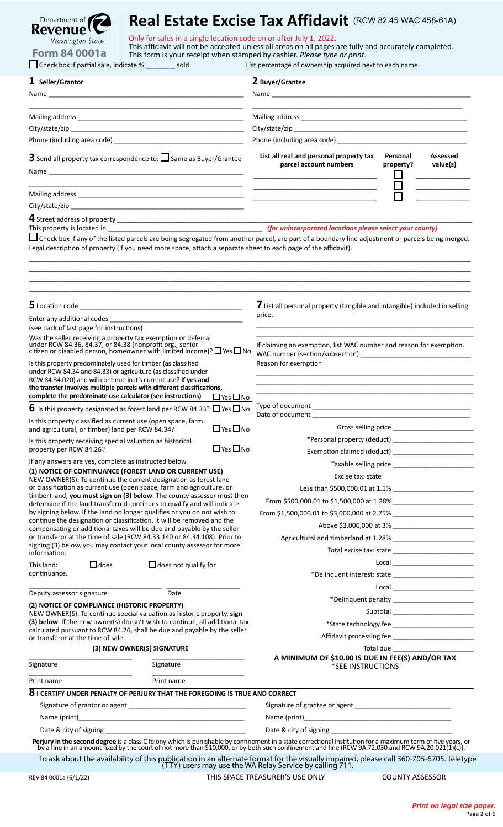| Department of <b><i>Revenue</i></b>                   | Real Estate Excise Tax Affidavit (RCW 82.45 WAC 458-61A)                                                                                                                                                                                                |
|-------------------------------------------------------|---------------------------------------------------------------------------------------------------------------------------------------------------------------------------------------------------------------------------------------------------------|
| Washington State<br><b>Form 84 0001a</b>              | Only for sales in a single location code on or after July 1, 2022.<br>This affidavit will not be accepted unless all areas on all pages are fully and accurately completed.<br>This form is your receipt when stamped by cashier. Please type or print. |
| Check box if partial sale, indicate % _________ sold. | List percentage of ownership acquired next to each name.                                                                                                                                                                                                |
| 1 Seller/Grantor                                      | 2 Buyer/Grantee                                                                                                                                                                                                                                         |

|                                                                                                                                                                                                                                                                   | <b>3</b> Send all property tax correspondence to: $\Box$ Same as Buyer/Grantee                                                                      | List all real and personal property tax<br>parcel account numbers                                                                                                                                                              | Personal<br>Assessed<br>value(s)<br>property?   |
|-------------------------------------------------------------------------------------------------------------------------------------------------------------------------------------------------------------------------------------------------------------------|-----------------------------------------------------------------------------------------------------------------------------------------------------|--------------------------------------------------------------------------------------------------------------------------------------------------------------------------------------------------------------------------------|-------------------------------------------------|
|                                                                                                                                                                                                                                                                   |                                                                                                                                                     | <u> 1989 - Johann Harry Harry Harry Harry Harry Harry Harry Harry Harry Harry Harry Harry Harry Harry Harry Harry</u>                                                                                                          |                                                 |
|                                                                                                                                                                                                                                                                   |                                                                                                                                                     | <u> 1989 - Johann Barbara, markazi ya mshindi ya matu ya matu ya matu ya matu ya matu ya matu ya matu ya matu ya</u>                                                                                                           |                                                 |
|                                                                                                                                                                                                                                                                   |                                                                                                                                                     |                                                                                                                                                                                                                                |                                                 |
|                                                                                                                                                                                                                                                                   | Legal description of property (if you need more space, attach a separate sheet to each page of the affidavit).                                      | $\Box$ Check box if any of the listed parcels are being segregated from another parcel, are part of a boundary line adjustment or parcels being merged.                                                                        |                                                 |
|                                                                                                                                                                                                                                                                   |                                                                                                                                                     | 7 List all personal property (tangible and intangible) included in selling<br>price.                                                                                                                                           |                                                 |
| (see back of last page for instructions)                                                                                                                                                                                                                          |                                                                                                                                                     |                                                                                                                                                                                                                                |                                                 |
| Was the seller receiving a property tax exemption or deferral<br>under RCW 84.36, 84.37, or 84.38 (nonprofit org., senior                                                                                                                                         | citizen or disabled person, homeowner with limited income)? $\Box$ Yes $\Box$ No                                                                    | If claiming an exemption, list WAC number and reason for exemption.                                                                                                                                                            |                                                 |
| Is this property predominately used for timber (as classified<br>under RCW 84.34 and 84.33) or agriculture (as classified under<br>RCW 84.34.020) and will continue in it's current use? If yes and<br>complete the predominate use calculator (see instructions) | the transfer involves multiple parcels with different classifications,<br>$\Box$ Yes $\Box$ No                                                      | Reason for exemption                                                                                                                                                                                                           |                                                 |
|                                                                                                                                                                                                                                                                   | <b>6</b> Is this property designated as forest land per RCW 84.33? $\Box$ Yes $\Box$ No                                                             |                                                                                                                                                                                                                                |                                                 |
| Is this property classified as current use (open space, farm<br>and agricultural, or timber) land per RCW 84.34?                                                                                                                                                  | $\Box$ Yes $\Box$ No                                                                                                                                | Date of document and the contract of the contract of the contract of the contract of the contract of the contract of the contract of the contract of the contract of the contract of the contract of the contract of the contr |                                                 |
| Is this property receiving special valuation as historical                                                                                                                                                                                                        |                                                                                                                                                     |                                                                                                                                                                                                                                |                                                 |
| property per RCW 84.26?                                                                                                                                                                                                                                           | $\Box$ Yes $\Box$ No                                                                                                                                | Exemption claimed (deduct)                                                                                                                                                                                                     |                                                 |
| If any answers are yes, complete as instructed below.                                                                                                                                                                                                             | (1) NOTICE OF CONTINUANCE (FOREST LAND OR CURRENT USE)                                                                                              |                                                                                                                                                                                                                                |                                                 |
|                                                                                                                                                                                                                                                                   | NEW OWNER(S): To continue the current designation as forest land<br>or classification as current use (open space, farm and agriculture, or          | Excise tax: state                                                                                                                                                                                                              |                                                 |
|                                                                                                                                                                                                                                                                   | timber) land, you must sign on (3) below. The county assessor must then<br>determine if the land transferred continues to qualify and will indicate |                                                                                                                                                                                                                                |                                                 |
|                                                                                                                                                                                                                                                                   | by signing below. If the land no longer qualifies or you do not wish to                                                                             |                                                                                                                                                                                                                                |                                                 |
|                                                                                                                                                                                                                                                                   | continue the designation or classification, it will be removed and the<br>compensating or additional taxes will be due and payable by the seller    |                                                                                                                                                                                                                                |                                                 |
|                                                                                                                                                                                                                                                                   | or transferor at the time of sale (RCW 84.33.140 or 84.34.108). Prior to                                                                            |                                                                                                                                                                                                                                |                                                 |
| information.                                                                                                                                                                                                                                                      | signing (3) below, you may contact your local county assessor for more                                                                              |                                                                                                                                                                                                                                |                                                 |
| $\Box$ does<br>This land:                                                                                                                                                                                                                                         | $\Box$ does not qualify for                                                                                                                         |                                                                                                                                                                                                                                |                                                 |
| continuance.                                                                                                                                                                                                                                                      |                                                                                                                                                     |                                                                                                                                                                                                                                |                                                 |
| Deputy assessor signature                                                                                                                                                                                                                                         | Date                                                                                                                                                |                                                                                                                                                                                                                                | Local ___________________________               |
| (2) NOTICE OF COMPLIANCE (HISTORIC PROPERTY)                                                                                                                                                                                                                      |                                                                                                                                                     |                                                                                                                                                                                                                                | *Delinquent penalty ___________________________ |
|                                                                                                                                                                                                                                                                   | NEW OWNER(S): To continue special valuation as historic property, sign                                                                              |                                                                                                                                                                                                                                | Subtotal __________________________             |
|                                                                                                                                                                                                                                                                   | (3) below. If the new owner(s) doesn't wish to continue, all additional tax                                                                         |                                                                                                                                                                                                                                |                                                 |
| calculated pursuant to RCW 84.26, shall be due and payable by the seller<br>or transferor at the time of sale.<br>(3) NEW OWNER(S) SIGNATURE                                                                                                                      |                                                                                                                                                     |                                                                                                                                                                                                                                |                                                 |
|                                                                                                                                                                                                                                                                   |                                                                                                                                                     |                                                                                                                                                                                                                                | Total due                                       |
| Signature<br>Signature                                                                                                                                                                                                                                            |                                                                                                                                                     | A MINIMUM OF \$10.00 IS DUE IN FEE(S) AND/OR TAX<br>*SEE INSTRUCTIONS                                                                                                                                                          |                                                 |
| Print name                                                                                                                                                                                                                                                        | Print name                                                                                                                                          |                                                                                                                                                                                                                                |                                                 |
|                                                                                                                                                                                                                                                                   | 8 I CERTIFY UNDER PENALTY OF PERJURY THAT THE FOREGOING IS TRUE AND CORRECT                                                                         |                                                                                                                                                                                                                                |                                                 |
|                                                                                                                                                                                                                                                                   |                                                                                                                                                     |                                                                                                                                                                                                                                |                                                 |
|                                                                                                                                                                                                                                                                   |                                                                                                                                                     |                                                                                                                                                                                                                                |                                                 |
|                                                                                                                                                                                                                                                                   |                                                                                                                                                     |                                                                                                                                                                                                                                |                                                 |
|                                                                                                                                                                                                                                                                   |                                                                                                                                                     |                                                                                                                                                                                                                                |                                                 |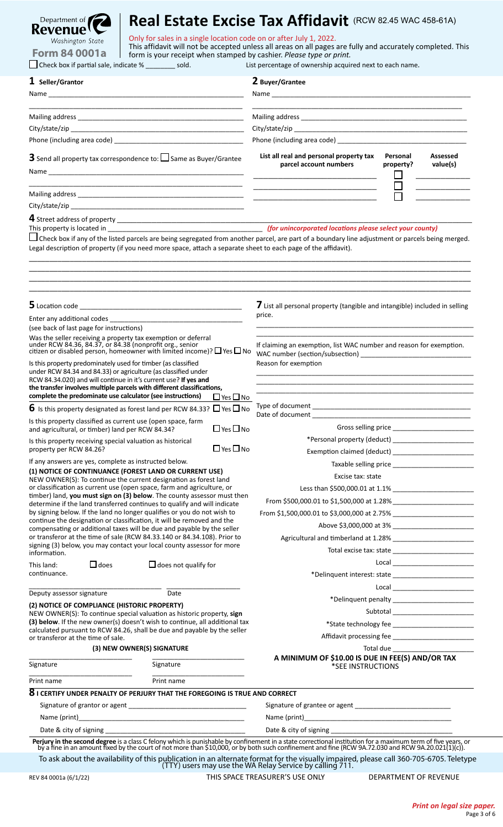| <b>Revenue</b>                                                                                    | <b>Real Estate Excise Tax Affidavit (RCW 82.45 WAC 458-61A)</b>                                                                                                                                                                                                                                                     |  |
|---------------------------------------------------------------------------------------------------|---------------------------------------------------------------------------------------------------------------------------------------------------------------------------------------------------------------------------------------------------------------------------------------------------------------------|--|
| Washington State<br><b>Form 84 0001a</b><br>Check box if partial sale, indicate % _________ sold. | Only for sales in a single location code on or after July 1, 2022.<br>This affidavit will not be accepted unless all areas on all pages are fully and accurately completed. This<br>form is your receipt when stamped by cashier. Please type or print.<br>List percentage of ownership acquired next to each name. |  |
| 1 Seller/Grantor                                                                                  | 2 Buyer/Grantee                                                                                                                                                                                                                                                                                                     |  |
| Name ________________                                                                             | Name                                                                                                                                                                                                                                                                                                                |  |
| Mailing address ______________                                                                    | Mailing address ______________                                                                                                                                                                                                                                                                                      |  |
|                                                                                                   |                                                                                                                                                                                                                                                                                                                     |  |
| Phone (including area code) _____________                                                         | Phone (including area code)                                                                                                                                                                                                                                                                                         |  |

**3** Send all property tax correspondence to:  $\Box$  Same as Buyer/Grantee Name \_\_\_\_\_\_\_\_\_\_\_\_\_\_\_\_\_\_\_\_\_\_\_\_\_\_\_\_\_\_\_\_\_\_\_\_\_\_\_\_\_\_\_\_\_\_\_\_\_\_\_\_\_

\_\_\_\_\_\_\_\_\_\_\_\_\_\_\_\_\_\_\_\_\_\_\_\_\_\_\_\_\_\_\_\_\_\_\_\_\_\_\_\_\_\_\_\_\_\_\_\_\_\_\_\_\_\_\_\_\_\_

# **List all real and personal property tax parcel account numbers** \_\_\_\_\_\_\_\_\_\_\_\_\_\_\_\_\_\_\_\_\_\_\_\_\_ \_\_\_\_\_\_\_\_\_\_\_

| Assessed<br>value(s) |
|----------------------|
|                      |

**Personal property?**

| Mailing address |  |
|-----------------|--|
|                 |  |

City/state/zip

**4** Street address of property \_\_\_\_\_\_\_\_\_\_\_\_\_\_\_\_\_\_\_\_\_\_\_\_\_\_\_\_\_\_\_\_\_\_\_\_\_\_\_\_\_\_\_\_\_\_\_\_\_\_\_\_\_\_\_\_\_\_\_\_\_\_\_\_\_\_\_\_\_\_\_\_

(for unincorporated locations please select your county)

\_\_\_\_\_\_\_\_\_\_\_\_\_\_\_\_\_\_\_\_\_\_\_\_\_ \_\_\_\_\_\_\_\_\_\_\_ \_\_\_\_\_\_\_\_\_\_\_\_\_\_\_\_\_\_\_\_\_\_\_\_\_ \_\_\_\_\_\_\_\_\_\_\_

Check box if any of the listed parcels are being segregated from another parcel, are part of a boundary line adjustment or parcels being merged. Legal description of property (if you need more space, attach a separate sheet to each page of the affidavit). \_\_\_\_\_\_\_\_\_\_\_\_\_\_\_\_\_\_\_\_\_\_\_\_\_\_\_\_\_\_\_\_\_\_\_\_\_\_\_\_\_\_\_\_\_\_\_\_\_\_\_\_\_\_\_\_\_\_\_\_\_\_\_\_\_\_\_\_\_\_\_\_\_\_\_\_\_\_\_\_\_\_\_\_\_\_\_\_\_\_\_\_\_\_\_\_\_\_\_\_\_\_\_\_\_\_\_\_

\_\_\_\_\_\_\_\_\_\_\_\_\_\_\_\_\_\_\_\_\_\_\_\_\_\_\_\_\_\_\_\_\_\_\_\_\_\_\_\_\_\_\_\_\_\_\_\_\_\_\_\_\_\_\_\_\_\_\_\_\_\_\_\_\_\_\_\_\_\_\_\_\_\_\_\_\_\_\_\_\_\_\_\_\_\_\_\_\_\_\_\_\_\_\_\_\_\_\_\_\_\_\_\_\_\_\_\_ \_\_\_\_\_\_\_\_\_\_\_\_\_\_\_\_\_\_\_\_\_\_\_\_\_\_\_\_\_\_\_\_\_\_\_\_\_\_\_\_\_\_\_\_\_\_\_\_\_\_\_\_\_\_\_\_\_\_\_\_\_\_\_\_\_\_\_\_\_\_\_\_\_\_\_\_\_\_\_\_\_\_\_\_\_\_\_\_\_\_\_\_\_\_\_\_\_\_\_\_\_\_\_\_\_\_\_\_ \_\_\_\_\_\_\_\_\_\_\_\_\_\_\_\_\_\_\_\_\_\_\_\_\_\_\_\_\_\_\_\_\_\_\_\_\_\_\_\_\_\_\_\_\_\_\_\_\_\_\_\_\_\_\_\_\_\_\_\_\_\_\_\_\_\_\_\_\_\_\_\_\_\_\_\_\_\_\_\_\_\_\_\_\_\_\_\_\_\_\_\_\_\_\_\_\_\_\_\_\_\_\_\_\_\_\_\_

|                                                                                                                                                                                                                                                                                                                                             |                                                  |                                                                                                                                                                                                                                |                      | 7 List all personal property (tangible and intangible) included in selling                                                                                                                                                      |  |
|---------------------------------------------------------------------------------------------------------------------------------------------------------------------------------------------------------------------------------------------------------------------------------------------------------------------------------------------|--------------------------------------------------|--------------------------------------------------------------------------------------------------------------------------------------------------------------------------------------------------------------------------------|----------------------|---------------------------------------------------------------------------------------------------------------------------------------------------------------------------------------------------------------------------------|--|
|                                                                                                                                                                                                                                                                                                                                             | (see back of last page for instructions)         | Enter any additional codes experience that the control of the control of the control of the control of the control of the control of the control of the control of the control of the control of the control of the control of |                      | price.                                                                                                                                                                                                                          |  |
|                                                                                                                                                                                                                                                                                                                                             |                                                  | Was the seller receiving a property tax exemption or deferral<br>under RCW 84.36, 84.37, or 84.38 (nonprofit org., senior<br>citizen or disabled person, homeowner with limited income)? $\Box$ Yes $\Box$ No                  |                      | If claiming an exemption, list WAC number and reason for exemption.                                                                                                                                                             |  |
| Is this property predominately used for timber (as classified<br>under RCW 84.34 and 84.33) or agriculture (as classified under<br>RCW 84.34.020) and will continue in it's current use? If yes and<br>the transfer involves multiple parcels with different classifications,<br>complete the predominate use calculator (see instructions) |                                                  |                                                                                                                                                                                                                                | $\Box$ Yes $\Box$ No | Reason for exemption                                                                                                                                                                                                            |  |
|                                                                                                                                                                                                                                                                                                                                             |                                                  | <b>6</b> Is this property designated as forest land per RCW 84.33? $\Box$ Yes $\Box$ No                                                                                                                                        |                      |                                                                                                                                                                                                                                 |  |
|                                                                                                                                                                                                                                                                                                                                             | and agricultural, or timber) land per RCW 84.34? | Is this property classified as current use (open space, farm                                                                                                                                                                   | $\Box$ Yes $\Box$ No |                                                                                                                                                                                                                                 |  |
|                                                                                                                                                                                                                                                                                                                                             |                                                  | Is this property receiving special valuation as historical                                                                                                                                                                     |                      |                                                                                                                                                                                                                                 |  |
| property per RCW 84.26?                                                                                                                                                                                                                                                                                                                     |                                                  |                                                                                                                                                                                                                                | $\Box$ Yes $\Box$ No |                                                                                                                                                                                                                                 |  |
|                                                                                                                                                                                                                                                                                                                                             |                                                  | If any answers are yes, complete as instructed below.                                                                                                                                                                          |                      |                                                                                                                                                                                                                                 |  |
|                                                                                                                                                                                                                                                                                                                                             |                                                  | (1) NOTICE OF CONTINUANCE (FOREST LAND OR CURRENT USE)<br>NEW OWNER(S): To continue the current designation as forest land                                                                                                     |                      | Excise tax: state                                                                                                                                                                                                               |  |
|                                                                                                                                                                                                                                                                                                                                             |                                                  | or classification as current use (open space, farm and agriculture, or                                                                                                                                                         |                      |                                                                                                                                                                                                                                 |  |
|                                                                                                                                                                                                                                                                                                                                             |                                                  | timber) land, you must sign on (3) below. The county assessor must then<br>determine if the land transferred continues to qualify and will indicate                                                                            |                      | From \$500,000.01 to \$1,500,000 at 1.28% [CONDENSIGN 2010]                                                                                                                                                                     |  |
|                                                                                                                                                                                                                                                                                                                                             |                                                  | by signing below. If the land no longer qualifies or you do not wish to                                                                                                                                                        |                      |                                                                                                                                                                                                                                 |  |
|                                                                                                                                                                                                                                                                                                                                             |                                                  | continue the designation or classification, it will be removed and the<br>compensating or additional taxes will be due and payable by the seller                                                                               |                      |                                                                                                                                                                                                                                 |  |
|                                                                                                                                                                                                                                                                                                                                             |                                                  | or transferor at the time of sale (RCW 84.33.140 or 84.34.108). Prior to                                                                                                                                                       |                      |                                                                                                                                                                                                                                 |  |
| signing (3) below, you may contact your local county assessor for more<br>information.                                                                                                                                                                                                                                                      |                                                  |                                                                                                                                                                                                                                |                      |                                                                                                                                                                                                                                 |  |
| This land:                                                                                                                                                                                                                                                                                                                                  | $\Box$ does                                      | $\Box$ does not qualify for                                                                                                                                                                                                    |                      |                                                                                                                                                                                                                                 |  |
| continuance.                                                                                                                                                                                                                                                                                                                                |                                                  |                                                                                                                                                                                                                                |                      |                                                                                                                                                                                                                                 |  |
|                                                                                                                                                                                                                                                                                                                                             |                                                  |                                                                                                                                                                                                                                |                      |                                                                                                                                                                                                                                 |  |
| Deputy assessor signature                                                                                                                                                                                                                                                                                                                   | (2) NOTICE OF COMPLIANCE (HISTORIC PROPERTY)     | Date                                                                                                                                                                                                                           |                      |                                                                                                                                                                                                                                 |  |
|                                                                                                                                                                                                                                                                                                                                             |                                                  | NEW OWNER(S): To continue special valuation as historic property, sign                                                                                                                                                         |                      |                                                                                                                                                                                                                                 |  |
|                                                                                                                                                                                                                                                                                                                                             |                                                  | (3) below. If the new owner(s) doesn't wish to continue, all additional tax<br>calculated pursuant to RCW 84.26, shall be due and payable by the seller                                                                        |                      |                                                                                                                                                                                                                                 |  |
| or transferor at the time of sale.                                                                                                                                                                                                                                                                                                          |                                                  |                                                                                                                                                                                                                                |                      |                                                                                                                                                                                                                                 |  |
|                                                                                                                                                                                                                                                                                                                                             |                                                  | (3) NEW OWNER(S) SIGNATURE                                                                                                                                                                                                     |                      | Total due                                                                                                                                                                                                                       |  |
| Signature                                                                                                                                                                                                                                                                                                                                   |                                                  | Signature                                                                                                                                                                                                                      |                      | A MINIMUM OF \$10.00 IS DUE IN FEE(S) AND/OR TAX<br>*SEE INSTRUCTIONS                                                                                                                                                           |  |
| Print name                                                                                                                                                                                                                                                                                                                                  |                                                  | Print name                                                                                                                                                                                                                     |                      |                                                                                                                                                                                                                                 |  |
|                                                                                                                                                                                                                                                                                                                                             |                                                  | $8$ I CERTIFY UNDER PENALTY OF PERJURY THAT THE FOREGOING IS TRUE AND CORRECT                                                                                                                                                  |                      |                                                                                                                                                                                                                                 |  |
|                                                                                                                                                                                                                                                                                                                                             |                                                  |                                                                                                                                                                                                                                |                      |                                                                                                                                                                                                                                 |  |
| Name (print)                                                                                                                                                                                                                                                                                                                                |                                                  | Name (print)                                                                                                                                                                                                                   |                      |                                                                                                                                                                                                                                 |  |
|                                                                                                                                                                                                                                                                                                                                             |                                                  |                                                                                                                                                                                                                                |                      |                                                                                                                                                                                                                                 |  |
|                                                                                                                                                                                                                                                                                                                                             |                                                  |                                                                                                                                                                                                                                |                      | Perjury in the second degree is a class C felony which is punishable by confinement in a state correctional institution for a maximum term of five years, or by a fine in an amount fixed by the court of not more than \$10,00 |  |
|                                                                                                                                                                                                                                                                                                                                             |                                                  |                                                                                                                                                                                                                                |                      | To ask about the availability of this publication in an alternate format for the visually impaired, please call 360-705-6705. Teletype<br>(TTY) users may use the WA Relay Service by calling 711.                              |  |

| $\mathbf 1$ Seller/Granto |  |
|---------------------------|--|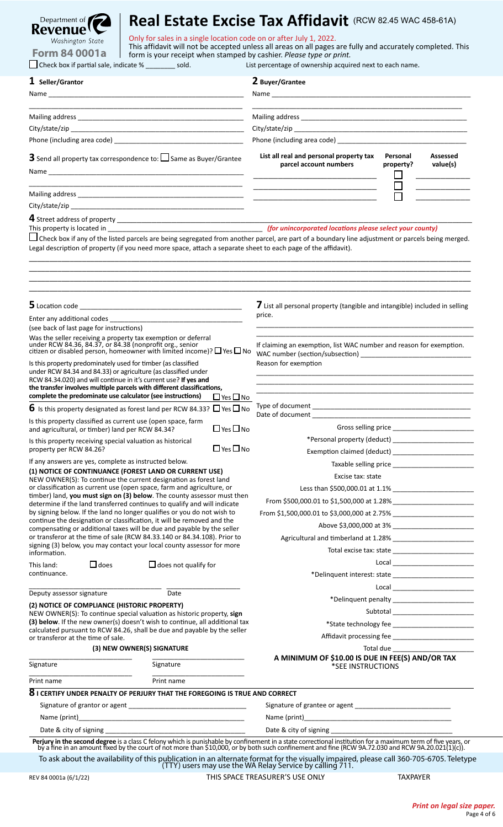| <b>Revenue</b><br>Washington State                                                                             | Only for sales in a single location code on or after July 1, 2022. | <b>Real Estate Excise Tax Affidavit (RCW 82.45 WAC 458-61A)</b><br>This affidavit will not be accepted unless all areas on all pages are fully and accurately completed. This |
|----------------------------------------------------------------------------------------------------------------|--------------------------------------------------------------------|-------------------------------------------------------------------------------------------------------------------------------------------------------------------------------|
| <b>Form 84 0001a</b><br>1 Seller/Grantor                                                                       | Check box if partial sale, indicate % __________ sold.             | form is your receipt when stamped by cashier. Please type or print.<br>List percentage of ownership acquired next to each name.<br><b>2</b> Buyer/Grantee                     |
|                                                                                                                |                                                                    |                                                                                                                                                                               |
| Mailing address and the state of the state of the state of the state of the state of the state of the state of |                                                                    | Mailing address and the state of the state of the state of the state of the state of the state of the state of                                                                |
| Phone (including area code) ____________                                                                       |                                                                    | Phone (including area code) ____________                                                                                                                                      |

**3** Send all property tax correspondence to:  $\Box$  Same as Buyer/Grantee Name \_\_\_\_\_\_\_\_\_\_\_\_\_\_\_\_\_\_\_\_\_\_\_\_\_\_\_\_\_\_\_\_\_\_\_\_\_\_\_\_\_\_\_\_\_\_\_\_\_\_\_\_\_

\_\_\_\_\_\_\_\_\_\_\_\_\_\_\_\_\_\_\_\_\_\_\_\_\_\_\_\_\_\_\_\_\_\_\_\_\_\_\_\_\_\_\_\_\_\_\_\_\_\_\_\_\_\_\_\_\_\_

# **List all real and personal property tax parcel account numbers** \_\_\_\_\_\_\_\_\_\_\_\_\_\_\_\_\_\_\_\_\_\_\_\_\_ \_\_\_\_\_\_\_\_\_\_\_

| Assessed |
|----------|
| value(s) |
|          |

**Personal property?**

| Mailing address |  |
|-----------------|--|
|                 |  |

City/state/zip

**4** Street address of property \_\_\_\_\_\_\_\_\_\_\_\_\_\_\_\_\_\_\_\_\_\_\_\_\_\_\_\_\_\_\_\_\_\_\_\_\_\_\_\_\_\_\_\_\_\_\_\_\_\_\_\_\_\_\_\_\_\_\_\_\_\_\_\_\_\_\_\_\_\_\_\_

(for unincorporated locations please select your county)

\_\_\_\_\_\_\_\_\_\_\_\_\_\_\_\_\_\_\_\_\_\_\_\_\_ \_\_\_\_\_\_\_\_\_\_\_ \_\_\_\_\_\_\_\_\_\_\_\_\_\_\_\_\_\_\_\_\_\_\_\_\_ \_\_\_\_\_\_\_\_\_\_\_

Check box if any of the listed parcels are being segregated from another parcel, are part of a boundary line adjustment or parcels being merged. Legal description of property (if you need more space, attach a separate sheet to each page of the affidavit). \_\_\_\_\_\_\_\_\_\_\_\_\_\_\_\_\_\_\_\_\_\_\_\_\_\_\_\_\_\_\_\_\_\_\_\_\_\_\_\_\_\_\_\_\_\_\_\_\_\_\_\_\_\_\_\_\_\_\_\_\_\_\_\_\_\_\_\_\_\_\_\_\_\_\_\_\_\_\_\_\_\_\_\_\_\_\_\_\_\_\_\_\_\_\_\_\_\_\_\_\_\_\_\_\_\_\_\_

\_\_\_\_\_\_\_\_\_\_\_\_\_\_\_\_\_\_\_\_\_\_\_\_\_\_\_\_\_\_\_\_\_\_\_\_\_\_\_\_\_\_\_\_\_\_\_\_\_\_\_\_\_\_\_\_\_\_\_\_\_\_\_\_\_\_\_\_\_\_\_\_\_\_\_\_\_\_\_\_\_\_\_\_\_\_\_\_\_\_\_\_\_\_\_\_\_\_\_\_\_\_\_\_\_\_\_\_ \_\_\_\_\_\_\_\_\_\_\_\_\_\_\_\_\_\_\_\_\_\_\_\_\_\_\_\_\_\_\_\_\_\_\_\_\_\_\_\_\_\_\_\_\_\_\_\_\_\_\_\_\_\_\_\_\_\_\_\_\_\_\_\_\_\_\_\_\_\_\_\_\_\_\_\_\_\_\_\_\_\_\_\_\_\_\_\_\_\_\_\_\_\_\_\_\_\_\_\_\_\_\_\_\_\_\_\_ \_\_\_\_\_\_\_\_\_\_\_\_\_\_\_\_\_\_\_\_\_\_\_\_\_\_\_\_\_\_\_\_\_\_\_\_\_\_\_\_\_\_\_\_\_\_\_\_\_\_\_\_\_\_\_\_\_\_\_\_\_\_\_\_\_\_\_\_\_\_\_\_\_\_\_\_\_\_\_\_\_\_\_\_\_\_\_\_\_\_\_\_\_\_\_\_\_\_\_\_\_\_\_\_\_\_\_\_

| $5$ Location code $\_$                                                                                                                                                                                                                                                                                                                                              |                            |                             |                      | $\overline{J}$ List all personal property (tangible and intangible) included in selling                                                                                                                                                                                                                            |                                                 |
|---------------------------------------------------------------------------------------------------------------------------------------------------------------------------------------------------------------------------------------------------------------------------------------------------------------------------------------------------------------------|----------------------------|-----------------------------|----------------------|--------------------------------------------------------------------------------------------------------------------------------------------------------------------------------------------------------------------------------------------------------------------------------------------------------------------|-------------------------------------------------|
| Enter any additional codes<br>(see back of last page for instructions)                                                                                                                                                                                                                                                                                              |                            |                             |                      | price.                                                                                                                                                                                                                                                                                                             |                                                 |
| Was the seller receiving a property tax exemption or deferral<br>under RCW 84.36, 84.37, or 84.38 (nonprofit org., senior<br>citizen or disabled person, homeowner with limited income)? $\Box$ Yes $\Box$ No                                                                                                                                                       |                            |                             |                      | If claiming an exemption, list WAC number and reason for exemption.<br>WAC number (section/subsection)                                                                                                                                                                                                             |                                                 |
| Is this property predominately used for timber (as classified<br>under RCW 84.34 and 84.33) or agriculture (as classified under<br>RCW 84.34.020) and will continue in it's current use? If yes and<br>the transfer involves multiple parcels with different classifications,<br>complete the predominate use calculator (see instructions)<br>$\Box$ Yes $\Box$ No |                            |                             |                      | Reason for exemption                                                                                                                                                                                                                                                                                               |                                                 |
| <b>6</b> Is this property designated as forest land per RCW 84.33? $\Box$ Yes $\Box$ No                                                                                                                                                                                                                                                                             |                            |                             |                      |                                                                                                                                                                                                                                                                                                                    |                                                 |
| Is this property classified as current use (open space, farm                                                                                                                                                                                                                                                                                                        |                            |                             | $\Box$ Yes $\Box$ No |                                                                                                                                                                                                                                                                                                                    |                                                 |
| and agricultural, or timber) land per RCW 84.34?                                                                                                                                                                                                                                                                                                                    |                            |                             |                      |                                                                                                                                                                                                                                                                                                                    |                                                 |
| Is this property receiving special valuation as historical<br>$\Box$ Yes $\Box$ No<br>property per RCW 84.26?                                                                                                                                                                                                                                                       |                            |                             |                      |                                                                                                                                                                                                                                                                                                                    |                                                 |
| If any answers are yes, complete as instructed below.                                                                                                                                                                                                                                                                                                               |                            |                             |                      |                                                                                                                                                                                                                                                                                                                    |                                                 |
| (1) NOTICE OF CONTINUANCE (FOREST LAND OR CURRENT USE)                                                                                                                                                                                                                                                                                                              |                            |                             |                      | Excise tax: state                                                                                                                                                                                                                                                                                                  |                                                 |
| NEW OWNER(S): To continue the current designation as forest land<br>or classification as current use (open space, farm and agriculture, or                                                                                                                                                                                                                          |                            |                             |                      |                                                                                                                                                                                                                                                                                                                    |                                                 |
| timber) land, you must sign on (3) below. The county assessor must then<br>determine if the land transferred continues to qualify and will indicate                                                                                                                                                                                                                 |                            |                             |                      |                                                                                                                                                                                                                                                                                                                    |                                                 |
| by signing below. If the land no longer qualifies or you do not wish to                                                                                                                                                                                                                                                                                             |                            |                             |                      |                                                                                                                                                                                                                                                                                                                    |                                                 |
| continue the designation or classification, it will be removed and the                                                                                                                                                                                                                                                                                              |                            |                             |                      |                                                                                                                                                                                                                                                                                                                    |                                                 |
| compensating or additional taxes will be due and payable by the seller<br>or transferor at the time of sale (RCW 84.33.140 or 84.34.108). Prior to<br>signing (3) below, you may contact your local county assessor for more<br>information.                                                                                                                        |                            |                             |                      |                                                                                                                                                                                                                                                                                                                    |                                                 |
|                                                                                                                                                                                                                                                                                                                                                                     |                            |                             |                      |                                                                                                                                                                                                                                                                                                                    |                                                 |
| This land:                                                                                                                                                                                                                                                                                                                                                          | $\Box$ does                | $\Box$ does not qualify for |                      |                                                                                                                                                                                                                                                                                                                    | Local _______________________________           |
| continuance.                                                                                                                                                                                                                                                                                                                                                        |                            |                             |                      |                                                                                                                                                                                                                                                                                                                    |                                                 |
| Deputy assessor signature                                                                                                                                                                                                                                                                                                                                           |                            | Date                        |                      |                                                                                                                                                                                                                                                                                                                    | Local _____________________________             |
| (2) NOTICE OF COMPLIANCE (HISTORIC PROPERTY)                                                                                                                                                                                                                                                                                                                        |                            |                             |                      |                                                                                                                                                                                                                                                                                                                    | *Delinquent penalty ___________________________ |
| NEW OWNER(S): To continue special valuation as historic property, sign                                                                                                                                                                                                                                                                                              |                            |                             |                      |                                                                                                                                                                                                                                                                                                                    | Subtotal __________________________             |
| (3) below. If the new owner(s) doesn't wish to continue, all additional tax<br>calculated pursuant to RCW 84.26, shall be due and payable by the seller                                                                                                                                                                                                             |                            |                             |                      |                                                                                                                                                                                                                                                                                                                    |                                                 |
| or transferor at the time of sale.                                                                                                                                                                                                                                                                                                                                  |                            |                             |                      |                                                                                                                                                                                                                                                                                                                    |                                                 |
|                                                                                                                                                                                                                                                                                                                                                                     | (3) NEW OWNER(S) SIGNATURE |                             |                      |                                                                                                                                                                                                                                                                                                                    | Total due                                       |
| Signature                                                                                                                                                                                                                                                                                                                                                           |                            | Signature                   |                      | A MINIMUM OF \$10.00 IS DUE IN FEE(S) AND/OR TAX<br>*SEE INSTRUCTIONS                                                                                                                                                                                                                                              |                                                 |
| Print name                                                                                                                                                                                                                                                                                                                                                          |                            | Print name                  |                      |                                                                                                                                                                                                                                                                                                                    |                                                 |
| $8$ I CERTIFY UNDER PENALTY OF PERJURY THAT THE FOREGOING IS TRUE AND CORRECT                                                                                                                                                                                                                                                                                       |                            |                             |                      |                                                                                                                                                                                                                                                                                                                    |                                                 |
|                                                                                                                                                                                                                                                                                                                                                                     |                            |                             |                      |                                                                                                                                                                                                                                                                                                                    |                                                 |
| Name (print)                                                                                                                                                                                                                                                                                                                                                        |                            |                             |                      | Name (print)                                                                                                                                                                                                                                                                                                       |                                                 |
|                                                                                                                                                                                                                                                                                                                                                                     |                            |                             |                      |                                                                                                                                                                                                                                                                                                                    |                                                 |
|                                                                                                                                                                                                                                                                                                                                                                     |                            |                             |                      | Perjury in the second degree is a class C felony which is punishable by confinement in a state correctional institution for a maximum term of five years, or<br>by a fine in an amount fixed by the court of not more than \$10,000, or by both such confinement and fine (RCW 9A.72.030 and RCW 9A.20.021(1)(c)). |                                                 |
|                                                                                                                                                                                                                                                                                                                                                                     |                            |                             |                      | To ask about the availability of this publication in an alternate format for the visually impaired, please call 360-705-6705. Teletype<br>(TTY) users may use the WA Relay Service by calling 711.                                                                                                                 |                                                 |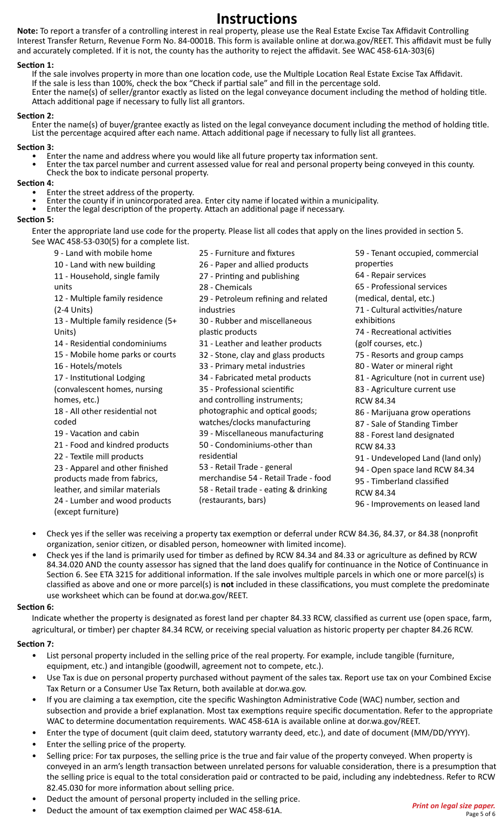# **Instructions**

**Note:** To report a transfer of a controlling interest in real property, please use the Real Estate Excise Tax Affidavit Controlling Interest Transfer Return, Revenue Form No. 84-0001B. This form is available online at dor.wa.gov/REET. This affidavit must be fully and accurately completed. If it is not, the county has the authority to reject the affidavit. See WAC 458-61A-303(6)

# **Section 1:**

If the sale involves property in more than one location code, use the Multiple Location Real Estate Excise Tax Affidavit. If the sale is less than 100%, check the box "Check if partial sale" and fill in the percentage sold. Enter the name(s) of seller/grantor exactly as listed on the legal conveyance document including the method of holding title. Attach additional page if necessary to fully list all grantors.

# **Section 2:**

Enter the name(s) of buyer/grantee exactly as listed on the legal conveyance document including the method of holding title. List the percentage acquired after each name. Attach additional page if necessary to fully list all grantees.

- **Section 3:**<br>• Enter the name and address where you would like all future property tax information sent.
	- Enter the tax parcel number and current assessed value for real and personal property being conveyed in this county. Check the box to indicate personal property.

- 
- Section 4:<br>• Enter the street address of the property.<br>• Enter the county if in unincorporated area. Enter city name if located within a municipality.<br>• Enter the legal description of the property. Attach an additional pag
	-

# **Section 5:**

Enter the appropriate land use code for the property. Please list all codes that apply on the lines provided in section 5. See WAC 458-53-030(5) for a complete list.

- 9 Land with mobile home 10 - Land with new building 11 - Household, single family units 12 - Multiple family residence (2-4 Units) 13 - Multiple family residence (5+ Units) 14 - Residential condominiums 15 - Mobile home parks or courts 16 - Hotels/motels 17 - Institutional Lodging (convalescent homes, nursing homes, etc.) 18 - All other residential not coded 19 - Vacation and cabin 21 - Food and kindred products 22 - Textile mill products 23 - Apparel and other finished products made from fabrics, leather, and similar materials 24 - Lumber and wood products (except furniture) 25 - Furniture and fixtures 26 - Paper and allied products 27 - Printing and publishing 28 - Chemicals 29 - Petroleum refining and related industries 30 - Rubber and miscellaneous plastic products 31 - Leather and leather products 32 - Stone, clay and glass products 33 - Primary metal industries 34 - Fabricated metal products 35 - Professional scientific and controlling instruments; photographic and optical goods; watches/clocks manufacturing 39 - Miscellaneous manufacturing 50 - Condominiums-other than residential 53 - Retail Trade - general merchandise 54 - Retail Trade - food 58 - Retail trade - eating & drinking (restaurants, bars) 59 - Tenant occupied, commercial properties 64 - Repair services 65 - Professional services (medical, dental, etc.) 71 - Cultural activities/nature exhibitions 74 - Recreational activities (golf courses, etc.) 75 - Resorts and group camps 80 - Water or mineral right 81 - Agriculture (not in current use) 83 - Agriculture current use RCW 84.34 86 - Marijuana grow operations 87 - Sale of Standing Timber 88 - Forest land designated RCW 84.33 91 - Undeveloped Land (land only) 94 - Open space land RCW 84.34 95 - Timberland classified RCW 84.34 96 - Improvements on leased land
- Check yes if the seller was receiving a property tax exemption or deferral under RCW 84.36, 84.37, or 84.38 (nonprofit organization, senior citizen, or disabled person, homeowner with limited income).
- Check yes if the land is primarily used for timber as defined by RCW 84.34 and 84.33 or agriculture as defined by RCW 84.34.020 AND the county assessor has signed that the land does qualify for continuance in the Notice of Continuance in Section 6. See ETA 3215 for additional information. If the sale involves multiple parcels in which one or more parcel(s) is classified as above and one or more parcel(s) is **not** included in these classifications, you must complete the predominate use worksheet which can be found at dor.wa.gov/REET.

# **Section 6:**

Indicate whether the property is designated as forest land per chapter 84.33 RCW, classified as current use (open space, farm, agricultural, or timber) per chapter 84.34 RCW, or receiving special valuation as historic property per chapter 84.26 RCW.

# **Section 7:**

- List personal property included in the selling price of the real property. For example, include tangible (furniture, equipment, etc.) and intangible (goodwill, agreement not to compete, etc.).
- Use Tax is due on personal property purchased without payment of the sales tax. Report use tax on your Combined Excise Tax Return or a Consumer Use Tax Return, both available at dor.wa.gov.
- If you are claiming a tax exemption, cite the specific Washington Administrative Code (WAC) number, section and subsection and provide a brief explanation. Most tax exemptions require specific documentation. Refer to the appropriate WAC to determine documentation requirements. WAC 458-61A is available online at dor.wa.gov/REET.
- Enter the type of document (quit claim deed, statutory warranty deed, etc.), and date of document (MM/DD/YYYY).
- Enter the selling price of the property.
- Selling price: For tax purposes, the selling price is the true and fair value of the property conveyed. When property is conveyed in an arm's length transaction between unrelated persons for valuable consideration, there is a presumption that the selling price is equal to the total consideration paid or contracted to be paid, including any indebtedness. Refer to RCW 82.45.030 for more information about selling price.
- Deduct the amount of personal property included in the selling price.
- Deduct the amount of tax exemption claimed per WAC 458-61A.